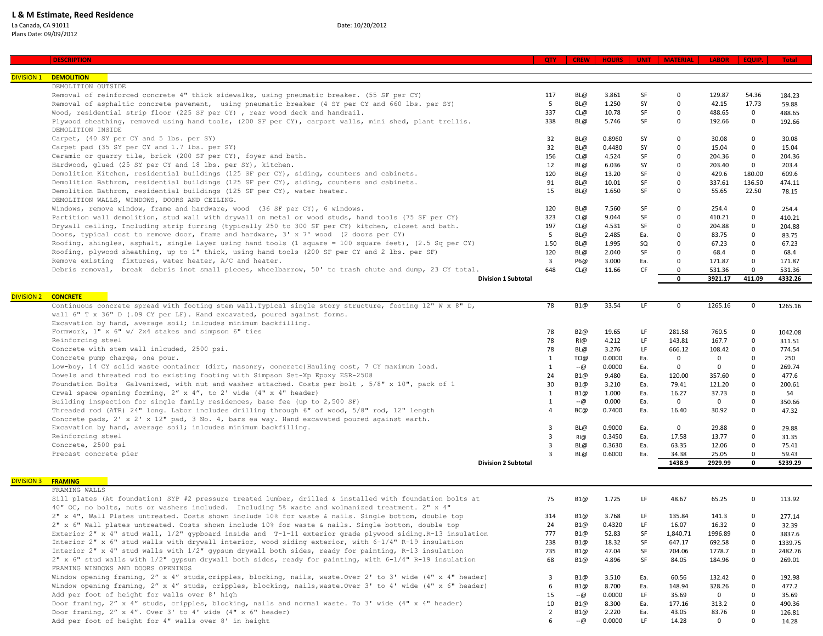## La Canada, CA 91011 Date: 10/20/2012 Plans Date: 09/09/2012

| <b>DIVISION 1</b> | <b>DEMOLITION</b>                                                                                                           |                         |            |        |           |                 |                  |                                     |         |
|-------------------|-----------------------------------------------------------------------------------------------------------------------------|-------------------------|------------|--------|-----------|-----------------|------------------|-------------------------------------|---------|
|                   | DEMOLITION OUTSIDE                                                                                                          |                         |            |        |           |                 |                  |                                     |         |
|                   | Removal of reinforced concrete 4" thick sidewalks, using pneumatic breaker. (55 SF per CY)                                  | 117                     | BL@        | 3.861  | SF        | $\mathbf 0$     | 129.87           | 54.36                               | 184.23  |
|                   | Removal of asphaltic concrete pavement, using pneumatic breaker (4 SY per CY and 660 lbs. per SY)                           | 5                       | BL@        | 1.250  | SY        | $\Omega$        | 42.15            | 17.73                               |         |
|                   | Wood, residential strip floor (225 SF per CY) , rear wood deck and handrail.                                                | 337                     | CL@        | 10.78  | SF        | $\mathbf 0$     | 488.65           |                                     | 59.88   |
|                   |                                                                                                                             |                         |            |        |           |                 |                  | $\mathbf 0$                         | 488.65  |
|                   | Plywood sheathing, removed using hand tools, (200 SF per CY), carport walls, mini shed, plant trellis.<br>DEMOLITION INSIDE | 338                     | BL@        | 5.746  | SF        | $\mathbf 0$     | 192.66           | $\mathbf 0$                         | 192.66  |
|                   | Carpet, (40 SY per CY and 5 lbs. per SY)                                                                                    | 32                      | BL@        | 0.8960 | SY        | $\mathbf 0$     | 30.08            | $\mathbf 0$                         | 30.08   |
|                   | Carpet pad (35 SY per CY and 1.7 lbs. per SY)                                                                               | 32                      | BL@        | 0.4480 | SY        | $\Omega$        | 15.04            | $\mathbf 0$                         | 15.04   |
|                   | Ceramic or quarry tile, brick (200 SF per CY), foyer and bath.                                                              | 156                     | CL@        | 4.524  | SF        | $\Omega$        | 204.36           | $\mathbf 0$                         | 204.36  |
|                   | Hardwood, glued (25 SY per CY and 18 lbs. per SY), kitchen.                                                                 | 12                      | BL@        | 6.036  | SY        | $\Omega$        | 203.40           | $\mathbf{0}$                        | 203.4   |
|                   | Demolition Kitchen, residential buildings (125 SF per CY), siding, counters and cabinets.                                   | 120                     | BL@        | 13.20  | SF        | $\Omega$        | 429.6            | 180.00                              | 609.6   |
|                   | Demolition Bathrom, residential buildings (125 SF per CY), siding, counters and cabinets.                                   | 91                      | BL@        | 10.01  | <b>SF</b> | $\Omega$        | 337.61           | 136.50                              | 474.11  |
|                   | Demolition Bathrom, residential buildings (125 SF per CY), water heater.                                                    | 15                      | BL@        | 1.650  | SF        | $\Omega$        | 55.65            | 22.50                               | 78.15   |
|                   | DEMOLITION WALLS, WINDOWS, DOORS AND CEILING.                                                                               |                         |            |        |           |                 |                  |                                     |         |
|                   | Windows, remove window, frame and hardware, wood (36 SF per CY), 6 windows.                                                 | 120                     | BL@        | 7.560  | SF        | $\mathbf 0$     | 254.4            | $\mathbf 0$                         | 254.4   |
|                   | Partition wall demolition, stud wall with drywall on metal or wood studs, hand tools (75 SF per CY)                         | 323                     | CL@        | 9.044  | SF        | $\Omega$        | 410.21           | $\mathbf 0$                         | 410.21  |
|                   | Drywall ceiling, Including strip furring (typically 250 to 300 SF per CY) kitchen, closet and bath.                         | 197                     | CL@        | 4.531  | SF        | $\Omega$        | 204.88           | $\Omega$                            | 204.88  |
|                   | Doors, typical cost to remove door, frame and hardware, 3' x 7' wood (2 doors per CY)                                       | 5                       | BL@        | 2.485  | Ea.       | $\Omega$        | 83.75            | $\mathbf 0$                         | 83.75   |
|                   | Roofing, shingles, asphalt, single layer using hand tools (1 square = 100 square feet), (2.5 Sq per CY)                     | 1.50                    | BL@        | 1.995  | SQ        | $\Omega$        | 67.23            | $\Omega$                            | 67.23   |
|                   | Roofing, plywood sheathing, up to 1" thick, using hand tools (200 SF per CY and 2 lbs. per SF)                              | 120                     | BL@        | 2.040  | SF        | $\Omega$        | 68.4             | $\mathbf 0$                         | 68.4    |
|                   | Remove existing fixtures, water heater, A/C and heater.                                                                     | $\overline{\mathbf{3}}$ | P6@        | 3.000  | Ea.       | $\mathbf 0$     | 171.87           | $\mathbf 0$                         | 171.87  |
|                   | Debris removal, break debris inot small pieces, wheelbarrow, 50' to trash chute and dump, 23 CY total.                      | 648                     | CL@        | 11.66  | CF        | $\Omega$        | 531.36           | $\Omega$                            | 531.36  |
|                   | <b>Division 1 Subtotal</b>                                                                                                  |                         |            |        |           | $\mathbf{0}$    | 3921.17          | 411.09                              | 4332.26 |
|                   |                                                                                                                             |                         |            |        |           |                 |                  |                                     |         |
| <b>DIVISION 2</b> | <b>CONCRETE</b>                                                                                                             |                         |            |        |           |                 |                  |                                     |         |
|                   | Continuous concrete spread with footing stem wall. Typical single story structure, footing 12" W x 8" D,                    | 78                      | B1@        | 33.54  | LF        | $\Omega$        | 1265.16          | $\mathbf 0$                         | 1265.16 |
|                   | wall 6" T x 36" D (.09 CY per LF). Hand excavated, poured against forms.                                                    |                         |            |        |           |                 |                  |                                     |         |
|                   | Excavation by hand, average soil; inlcudes minimum backfilling.                                                             |                         |            |        |           |                 |                  |                                     |         |
|                   | Formwork, 1" x 6" w/ 2x4 stakes and simpson 6" ties                                                                         | 78                      | B2@        | 19.65  | LF        | 281.58          | 760.5            | $\mathbf 0$                         | 1042.08 |
|                   | Reinforcing steel                                                                                                           | 78                      | RI@        | 4.212  | LF        | 143.81          | 167.7            | $\Omega$                            | 311.51  |
|                   | Concrete with stem wall inlcuded, 2500 psi.                                                                                 | 78                      | BL@        | 3.276  | LF        | 666.12          | 108.42           | $\mathbf 0$                         | 774.54  |
|                   | Concrete pump charge, one pour.                                                                                             | 1                       | TO@        | 0.0000 | Ea.       | $\mathbf 0$     | $\mathbf 0$      | $\mathbf 0$                         | 250     |
|                   | Low-boy, 14 CY solid waste container (dirt, masonry, concrete) Hauling cost, 7 CY maximum load.                             | $\overline{1}$          | --@        | 0.0000 | Ea.       | $\mathbf 0$     | $\Omega$         | $\Omega$                            | 269.74  |
|                   | Dowels and threated rod to existing footing with Simpson Set-Xp Epoxy ESR-2508                                              | 24                      | B1@        | 9.480  | Ea.       | 120.00          | 357.60           | $\mathbf 0$                         | 477.6   |
|                   | Foundation Bolts Galvanized, with nut and washer attached. Costs per bolt , 5/8" x 10", pack of 1                           | 30                      | B1@        | 3.210  | Ea.       | 79.41           | 121.20           | $\Omega$                            | 200.61  |
|                   | Crwal space opening forming, 2" x 4", to 2' wide (4" x 4" header)                                                           | $\overline{1}$          | B1@        | 1.000  | Ea.       | 16.27           | 37.73            | $\Omega$                            | 54      |
|                   | Building inspection for single family residences, base fee (up to 2,500 SF)                                                 | $\mathbf{1}$            | $-$ @      | 0.000  | Ea.       | $\Omega$        | $\Omega$         | $\Omega$                            | 350.66  |
|                   | Threaded rod (ATR) 24" long. Labor includes drilling through 6" of wood, 5/8" rod, 12" length                               | $\overline{4}$          | BC@        | 0.7400 | Ea.       | 16.40           | 30.92            | $\Omega$                            | 47.32   |
|                   | Concrete pads, 2' x 2' x 12" pad, 3 No. 4, bars ea way. Hand excavated poured against earth.                                |                         |            |        |           |                 |                  |                                     |         |
|                   | Excavation by hand, average soil; inlcudes minimum backfilling.                                                             | $\overline{3}$          | BL@        | 0.9000 | Ea.       | $\mathbf{0}$    | 29.88            | $\mathbf 0$                         | 29.88   |
|                   |                                                                                                                             |                         |            |        | Ea.       |                 |                  | $\mathbf 0$                         |         |
|                   | Reinforcing steel                                                                                                           | $\overline{3}$          | $R/\omega$ | 0.3450 |           | 17.58           | 13.77            | $\Omega$                            | 31.35   |
|                   | Concrete, 2500 psi                                                                                                          | $\overline{3}$          | BL@        | 0.3630 | Ea.       | 63.35           | 12.06            |                                     | 75.41   |
|                   | Precast concrete pier                                                                                                       | $\overline{3}$          | BL@        | 0.6000 | Ea.       | 34.38<br>1438.9 | 25.05<br>2929.99 | $\Omega$<br>$\overline{\mathbf{0}}$ | 59.43   |
|                   | <b>Division 2 Subtotal</b>                                                                                                  |                         |            |        |           |                 |                  |                                     | 5239.29 |
|                   | <b>DIVISION 3 FRAMING</b>                                                                                                   |                         |            |        |           |                 |                  |                                     |         |
|                   | FRAMING WALLS                                                                                                               |                         |            |        |           |                 |                  |                                     |         |
|                   | Sill plates (At foundation) SYP #2 pressure treated lumber, drilled & installed with foundation bolts at                    | 75                      | B1@        | 1.725  | LF.       | 48.67           | 65.25            | $\mathbf 0$                         | 113.92  |
|                   | 40" OC, no bolts, nuts or washers included. Including 5% waste and wolmanized treatment. 2" x 4"                            |                         |            |        |           |                 |                  |                                     |         |
|                   | 2" x 4", Wall Plates untreated. Costs shown include 10% for waste & nails. Single bottom, double top                        | 314                     | B1@        | 3.768  | LF        | 135.84          | 141.3            | $\Omega$                            | 277.14  |
|                   | 2" x 6" Wall plates untreated. Costs shown include 10% for waste & nails. Single bottom, double top                         | 24                      | B1@        | 0.4320 | LF        | 16.07           | 16.32            | $\Omega$                            | 32.39   |
|                   | Exterior 2" x 4" stud wall, 1/2" gypboard inside and T-1-11 exterior grade plywood siding. R-13 insulation                  | 777                     | B1@        | 52.83  | SF        | 1,840.71        | 1996.89          | $\mathbf 0$                         | 3837.6  |
|                   | Interior 2" x 6" stud walls with drywall interior, wood siding exterior, with 6-1/4" R-19 insulation                        | 238                     | B1@        | 18.32  | SF        | 647.17          | 692.58           | $\mathsf 0$                         |         |
|                   |                                                                                                                             | 735                     | B1@        | 47.04  | SF        | 704.06          | 1778.7           | $\mathbf 0$                         | 1339.75 |
|                   | Interior 2" x 4" stud walls with 1/2" gypsum drywall both sides, ready for painting, R-13 insulation                        |                         |            |        |           |                 |                  |                                     | 2482.76 |
|                   | 2" x 6" stud walls with 1/2" gypsum drywall both sides, ready for painting, with 6-1/4" R-19 insulation                     | 68                      | B1@        | 4.896  | SF        | 84.05           | 184.96           | $\mathbf 0$                         | 269.01  |
|                   | FRAMING WINDOWS AND DOORS OPENINGS                                                                                          |                         |            |        |           |                 |                  |                                     |         |
|                   | Window opening framing, 2" x 4" studs, cripples, blocking, nails, waste. Over 2' to 3' wide (4" x 4" header)                | $\overline{\mathbf{3}}$ | B1@        | 3.510  | Ea.       | 60.56           | 132.42           | $\mathbf 0$                         | 192.98  |
|                   | Window opening framing, 2" x 4" studs, cripples, blocking, nails, waste. Over 3' to 4' wide (4" x 6" header)                | 6                       | B1@        | 8.700  | Ea.       | 148.94          | 328.26           | $\Omega$                            | 477.2   |
|                   | Add per foot of height for walls over 8' high                                                                               | 15                      | $-\omega$  | 0.0000 | LF.       | 35.69           | $\Omega$         | $\Omega$                            | 35.69   |

Door framing, 2" x 4" studs, cripples, blocking, nails and normal waste. To 3' wide (4" x 4" header) 10 B1@ 8.300 Ea. 177.16 313.2 0 490.36<br>Door framing, 2" x 4". Over 3' to 4' wide (4" x 6" header) 126.81 (4" x 4" header) Door framing, 2" x 4". Over 3' to 4' wide (4" x 6" header)<br>Add per foot of height for 4" walls over 8' in height the state of the control of the control of the state of the control of the control of the control of the cont

Add per foot of height for 4" walls over 8' in height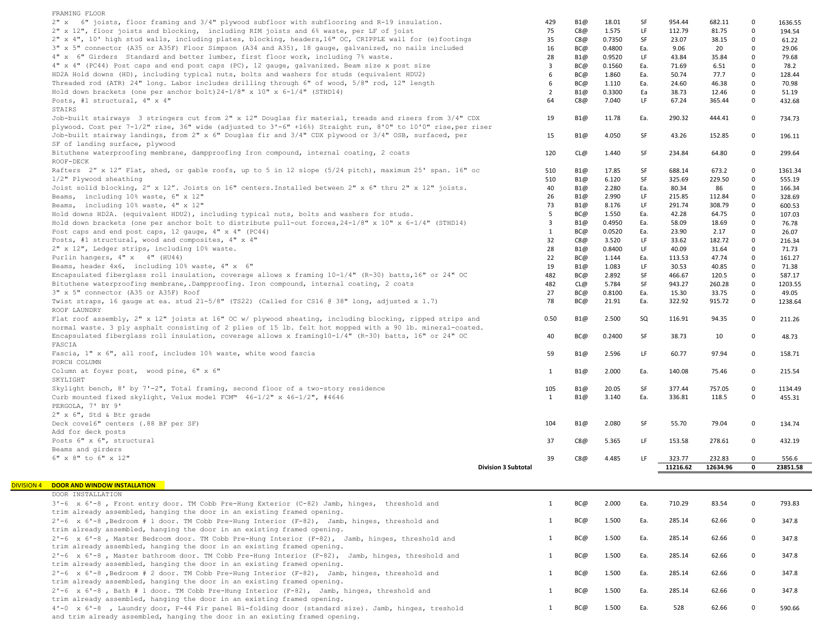| FRAMING FLOOR                                                                                                                                                                    |                            |                         |     |        |     |          |          |              |                   |
|----------------------------------------------------------------------------------------------------------------------------------------------------------------------------------|----------------------------|-------------------------|-----|--------|-----|----------|----------|--------------|-------------------|
| 2" x 6" joists, floor framing and 3/4" plywood subfloor with subflooring and R-19 insulation.                                                                                    |                            | 429                     | B1@ | 18.01  | SF  | 954.44   | 682.11   | 0            | 1636.55           |
| 2" x 12", floor joists and blocking, including RIM joists and 6% waste, per LF of joist                                                                                          |                            | 75                      | C8@ | 1.575  | LF  | 112.79   | 81.75    | $\mathbf 0$  | 194.54            |
| 2" x 4", 10' high stud walls, including plates, blocking, headers, 16" OC, CRIPPLE wall for (e) footings                                                                         |                            | 35                      | C8@ | 0.7350 | SF  | 23.07    | 38.15    | $\mathbf 0$  | 61.22             |
| 3" x 5" connector (A35 or A35F) Floor Simpson (A34 and A35), 18 gauge, galvanized, no nails included                                                                             |                            | 16                      | BC@ | 0.4800 | Ea. | 9.06     | 20       | $\mathbf 0$  | 29.06             |
| 4" x 6" Girders Standard and better lumber, first floor work, including 7% waste.                                                                                                |                            | 28                      | B1@ | 0.9520 | LF. | 43.84    | 35.84    | $\mathbf 0$  | 79.68             |
| 4" x 4" (PC44) Post caps and end post caps (PC), 12 gauge, galvanized. Beam size x post size                                                                                     |                            | $\overline{3}$          | BC@ | 0.1560 | Ea. | 71.69    | 6.51     | $\mathbf 0$  | 78.2              |
| HD2A Hold downs (HD), including typical nuts, bolts and washers for studs (equivalent HDU2)                                                                                      |                            | 6                       | BC@ | 1.860  | Ea. | 50.74    | 77.7     | $\mathbf 0$  | 128.44            |
| Threaded rod (ATR) 24" long. Labor includes drilling through 6" of wood, 5/8" rod, 12" length                                                                                    |                            | 6                       | BC@ | 1.110  | Ea. | 24.60    | 46.38    | $\mathbf 0$  | 70.98             |
| Hold down brackets (one per anchor bolt) $24-1/8$ " x 10" x 6-1/4" (STHD14)                                                                                                      |                            | $\overline{2}$          | B1@ | 0.3300 | Ea  | 38.73    | 12.46    | $\mathbf 0$  | 51.19             |
| Posts, #1 structural, 4" x 4"                                                                                                                                                    |                            | 64                      | C8@ | 7.040  | LF  | 67.24    | 365.44   | $\mathbf 0$  | 432.68            |
| STAIRS                                                                                                                                                                           |                            |                         |     |        |     |          |          |              |                   |
| Job-built stairways 3 stringers cut from 2" x 12" Douglas fir material, treads and risers from 3/4" CDX                                                                          |                            | 19                      | B1@ | 11.78  | Ea. | 290.32   | 444.41   | $\mathbf{0}$ | 734.73            |
| plywood. Cost per 7-1/2" rise, 36" wide (adjusted to 3'-6" +16%) Straight run, 8'0" to 10'0" rise, per riser                                                                     |                            |                         |     |        |     |          |          |              |                   |
| Job-built stairway landings, from 2" x 6" Douglas fir and 3/4" CDX plywood or 3/4" OSB, surfaced, per                                                                            |                            | 15                      | B1@ | 4.050  | SF  | 43.26    | 152.85   | $\mathbf 0$  | 196.11            |
| SF of landing surface, plywood                                                                                                                                                   |                            |                         |     |        |     |          |          |              |                   |
| Bituthene waterproofing membrane, dampproofing Iron compound, internal coating, 2 coats                                                                                          |                            | 120                     | CL@ | 1.440  | SF  | 234.84   | 64.80    | $\mathbf 0$  | 299.64            |
| ROOF-DECK                                                                                                                                                                        |                            |                         |     |        |     |          |          |              |                   |
| Rafters 2" x 12" Flat, shed, or gable roofs, up to 5 in 12 slope (5/24 pitch), maximum 25' span. 16" oc                                                                          |                            | 510                     | B1@ | 17.85  | SF  | 688.14   | 673.2    | $\mathbf 0$  | 1361.34           |
| 1/2" Plywood sheathing                                                                                                                                                           |                            | 510                     | B1@ | 6.120  | SF  | 325.69   | 229.50   | $\mathbf 0$  | 555.19            |
| Joist solid blocking, 2" x 12". Joists on 16" centers. Installed between 2" x 6" thru 2" x 12" joists.                                                                           |                            | 40                      | B1@ | 2.280  | Ea. | 80.34    | 86       | $\mathsf 0$  | 166.34            |
| Beams, including 10% waste, 6" x 12"                                                                                                                                             |                            | 26                      | B1@ | 2.990  | LF. | 215.85   | 112.84   | $\mathbf 0$  | 328.69            |
| Beams, including 10% waste, 4" x 12"                                                                                                                                             |                            | 73                      | B1@ | 8.176  | LF  | 291.74   | 308.79   | $\mathbf 0$  | 600.53            |
| Hold downs HD2A. (equivalent HDU2), including typical nuts, bolts and washers for studs.                                                                                         |                            | 5                       | BC@ | 1.550  | Ea. | 42.28    | 64.75    | $\mathbf 0$  | 107.03            |
| Hold down brackets (one per anchor bolt to distribute pull-out forces, $24-1/8$ " x 10" x 6-1/4" (STHD14)                                                                        |                            | $\overline{\mathbf{3}}$ | B1@ | 0.4950 | Ea. | 58.09    | 18.69    | $\mathbf 0$  | 76.78             |
| Post caps and end post caps, 12 gauge, 4" x 4" (PC44)                                                                                                                            |                            | $\mathbf{1}$            | BC@ | 0.0520 | Ea. | 23.90    | 2.17     | $\mathsf 0$  | 26.07             |
| Posts, #1 structural, wood and composites, 4" x 4"                                                                                                                               |                            | 32                      | C8@ | 3.520  | LF. | 33.62    | 182.72   | $\mathsf 0$  | 216.34            |
| 2" x 12", Ledger strips, including 10% waste.                                                                                                                                    |                            | 28                      | B1@ | 0.8400 | LF  | 40.09    | 31.64    | $\mathbf 0$  | 71.73             |
| Purlin hangers, 4" x 4" (HU44)                                                                                                                                                   |                            | 22                      | BC@ | 1.144  | Ea. | 113.53   | 47.74    | $\mathbf 0$  | 161.27            |
| Beams, header 4x6, including 10% waste, 4" x 6"                                                                                                                                  |                            | 19                      | B1@ | 1.083  | LF. | 30.53    | 40.85    | $\mathbf 0$  | 71.38             |
| Encapsulated fiberglass roll insulation, coverage allows x framing 10-1/4" (R-30) batts, 16" or 24" OC                                                                           |                            | 482                     | BC@ | 2.892  | SF  | 466.67   | 120.5    | $\mathbf 0$  | 587.17            |
| Bituthene waterproofing membrane, Dampproofing. Iron compound, internal coating, 2 coats                                                                                         |                            | 482                     | CL@ | 5.784  | SF  | 943.27   | 260.28   | $\mathbf 0$  | 1203.55           |
| 3" x 5" connector (A35 or A35F) Roof                                                                                                                                             |                            | 27                      | BC@ | 0.8100 | Ea. | 15.30    | 33.75    | $\mathbf 0$  | 49.05             |
| Twist straps, 16 gauge at ea. stud 21-5/8" (TS22) (Called for CS16 @ 38" long, adjusted x 1.7)                                                                                   |                            | 78                      | BC@ | 21.91  | Ea. | 322.92   | 915.72   | $\mathbf{0}$ | 1238.64           |
| ROOF LAUNDRY                                                                                                                                                                     |                            |                         |     |        |     |          |          |              |                   |
| Flat roof assembly, 2" x 12" joists at 16" OC w/ plywood sheating, including blocking, ripped strips and                                                                         |                            | 0.50                    | B1@ | 2.500  | SQ  | 116.91   | 94.35    | $\mathbf{0}$ | 211.26            |
| normal waste. 3 ply asphalt consisting of 2 plies of 15 lb. felt hot mopped with a 90 lb. mineral-coated.                                                                        |                            |                         |     |        |     |          |          |              |                   |
| Encapsulated fiberglass roll insulation, coverage allows x framing10-1/4" (R-30) batts, 16" or 24" OC                                                                            |                            | 40                      | BC@ | 0.2400 | SF  | 38.73    | 10       | $\mathbf 0$  | 48.73             |
| FASCIA                                                                                                                                                                           |                            |                         |     |        |     |          |          |              |                   |
| Fascia, 1" x 6", all roof, includes 10% waste, white wood fascia                                                                                                                 |                            | 59                      | B1@ | 2.596  | LF  | 60.77    | 97.94    | $\mathbf 0$  | 158.71            |
| PORCH COLUMN                                                                                                                                                                     |                            |                         |     |        |     |          |          |              |                   |
| Column at foyer post, wood pine, 6" x 6"<br>SKYLIGHT                                                                                                                             |                            | 1                       | B1@ | 2.000  | Ea. | 140.08   | 75.46    | $\mathbf 0$  | 215.54            |
| Skylight bench, 8' by 7'-2", Total framing, second floor of a two-story residence                                                                                                |                            | 105                     | B1@ | 20.05  | SF  | 377.44   | 757.05   | $\mathbf 0$  |                   |
| Curb mounted fixed skylight, Velux model FCM™ 46-1/2" x 46-1/2", #4646                                                                                                           |                            | 1                       | B1@ | 3.140  | Ea. | 336.81   | 118.5    | $\mathbf 0$  | 1134.49<br>455.31 |
| PERGOLA, 7' BY 9'                                                                                                                                                                |                            |                         |     |        |     |          |          |              |                   |
| 2" x 6", Std & Btr grade                                                                                                                                                         |                            |                         |     |        |     |          |          |              |                   |
| Deck cove16" centers (.88 BF per SF)                                                                                                                                             |                            | 104                     | B1@ | 2.080  | SF  | 55.70    | 79.04    | $\mathbf 0$  | 134.74            |
| Add for deck posts                                                                                                                                                               |                            |                         |     |        |     |          |          |              |                   |
| Posts 6" x 6", structural                                                                                                                                                        |                            | 37                      | C8@ | 5.365  | LF. | 153.58   | 278.61   | $\mathbf 0$  | 432.19            |
| Beams and girders                                                                                                                                                                |                            |                         |     |        |     |          |          |              |                   |
| 6" x 8" to 6" x 12"                                                                                                                                                              |                            | 39                      | C8@ | 4.485  | LF  | 323.77   | 232.83   | $\mathbf 0$  | 556.6             |
|                                                                                                                                                                                  | <b>Division 3 Subtotal</b> |                         |     |        |     | 11216.62 | 12634.96 | $\mathbf 0$  | 23851.58          |
|                                                                                                                                                                                  |                            |                         |     |        |     |          |          |              |                   |
| <b>DOOR AND WINDOW INSTALLATION</b>                                                                                                                                              |                            |                         |     |        |     |          |          |              |                   |
| DOOR INSTALLATION                                                                                                                                                                |                            |                         |     |        |     |          |          |              |                   |
| 3'-6 x 6'-8, Front entry door. TM Cobb Pre-Hung Exterior (C-82) Jamb, hinges, threshold and                                                                                      |                            | 1                       | BC@ | 2.000  | Ea. | 710.29   | 83.54    | $\mathbf 0$  | 793.83            |
| trim already assembled, hanging the door in an existing framed opening.                                                                                                          |                            |                         |     |        |     |          |          |              |                   |
| 2'-6 x 6'-8, Bedroom # 1 door. TM Cobb Pre-Hung Interior (F-82), Jamb, hinges, threshold and                                                                                     |                            | 1                       | BC@ | 1.500  | Ea. | 285.14   | 62.66    | $\mathbf 0$  | 347.8             |
| trim already assembled, hanging the door in an existing framed opening.                                                                                                          |                            |                         |     |        |     |          |          |              |                   |
| 2'-6 x 6'-8, Master Bedroom door. TM Cobb Pre-Hung Interior (F-82), Jamb, hinges, threshold and                                                                                  |                            | 1                       | BC@ | 1.500  | Ea. | 285.14   | 62.66    | $\mathbf 0$  | 347.8             |
| trim already assembled, hanging the door in an existing framed opening.                                                                                                          |                            |                         |     |        |     |          |          |              |                   |
| 2'-6 x 6'-8, Master bathroom door. TM Cobb Pre-Hung Interior (F-82), Jamb, hinges, threshold and                                                                                 |                            | 1                       | BC@ | 1.500  | Ea. | 285.14   | 62.66    | $\mathsf 0$  | 347.8             |
| trim already assembled, hanging the door in an existing framed opening.                                                                                                          |                            |                         |     |        |     |          |          |              |                   |
| 2'-6 x 6'-8, Bedroom # 2 door. TM Cobb Pre-Hung Interior (F-82), Jamb, hinges, threshold and                                                                                     |                            | 1                       | BC@ | 1.500  | Ea. | 285.14   | 62.66    | $\mathbf 0$  | 347.8             |
| trim already assembled, hanging the door in an existing framed opening.                                                                                                          |                            |                         |     |        |     |          |          |              |                   |
| 2'-6 x 6'-8, Bath # 1 door. TM Cobb Pre-Hung Interior (F-82), Jamb, hinges, threshold and                                                                                        |                            |                         |     |        |     |          |          |              |                   |
|                                                                                                                                                                                  |                            | 1                       | BC@ | 1.500  | Ea. | 285.14   | 62.66    | $\mathbf 0$  | 347.8             |
| trim already assembled, hanging the door in an existing framed opening.                                                                                                          |                            |                         |     |        |     |          |          |              |                   |
| 4'-0 x 6'-8, Laundry door, F-44 Fir panel Bi-folding door (standard size). Jamb, hinges, treshold<br>and trim already assembled, hanging the door in an existing framed opening. |                            | $\mathbf{1}$            | BC@ | 1.500  | Ea. | 528      | 62.66    | $\mathbf 0$  | 590.66            |

**DIVISION**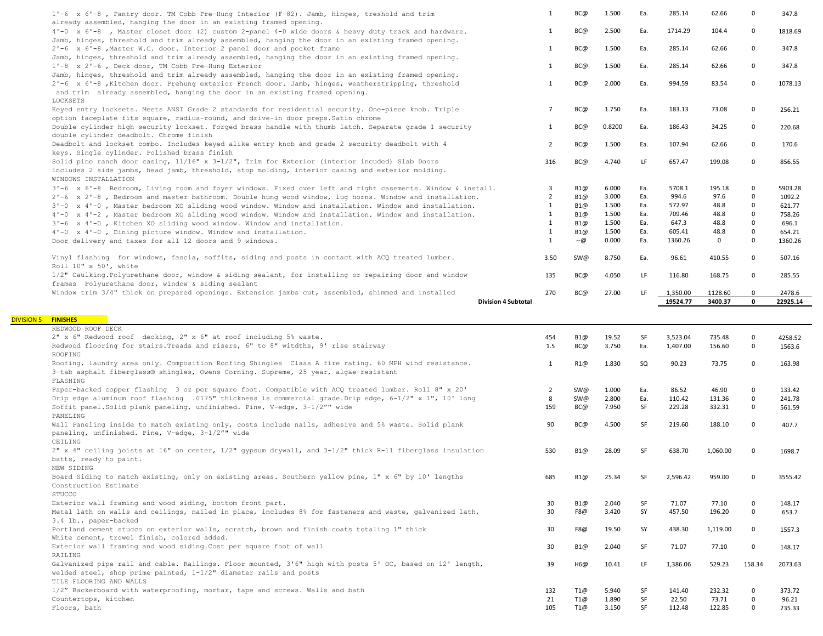| 1'-6 x 6'-8, Pantry door. TM Cobb Pre-Hung Interior (F-82). Jamb, hinges, treshold and trim<br>already assembled, hanging the door in an existing framed opening.                                                                                                                                                                                                                                                                                                                                                                                                                                                                                                                                                                                                                                                                                                                                                                                                                                                                                                                                                                                                                                                                                                                                                                                                                                                                                                                                                                                                                                                                                                                                                                                                                                                              | $\mathbf{1}$   | BC@ | 1.500  | Ea.       | 285.14   | 62.66       | $\mathbf 0$  | 347.8    |
|--------------------------------------------------------------------------------------------------------------------------------------------------------------------------------------------------------------------------------------------------------------------------------------------------------------------------------------------------------------------------------------------------------------------------------------------------------------------------------------------------------------------------------------------------------------------------------------------------------------------------------------------------------------------------------------------------------------------------------------------------------------------------------------------------------------------------------------------------------------------------------------------------------------------------------------------------------------------------------------------------------------------------------------------------------------------------------------------------------------------------------------------------------------------------------------------------------------------------------------------------------------------------------------------------------------------------------------------------------------------------------------------------------------------------------------------------------------------------------------------------------------------------------------------------------------------------------------------------------------------------------------------------------------------------------------------------------------------------------------------------------------------------------------------------------------------------------|----------------|-----|--------|-----------|----------|-------------|--------------|----------|
| 4'-0 x 6'-8, Master closet door (2) custom 2-panel 4-0 wide doors & heavy duty track and hardware.                                                                                                                                                                                                                                                                                                                                                                                                                                                                                                                                                                                                                                                                                                                                                                                                                                                                                                                                                                                                                                                                                                                                                                                                                                                                                                                                                                                                                                                                                                                                                                                                                                                                                                                             | $\mathbf{1}$   | BC@ | 2.500  | Ea.       | 1714.29  | 104.4       | $\mathbf 0$  | 1818.69  |
| Jamb, hinges, threshold and trim already assembled, hanging the door in an existing framed opening.<br>2'-6 x 6'-8, Master W.C. door. Interior 2 panel door and pocket frame                                                                                                                                                                                                                                                                                                                                                                                                                                                                                                                                                                                                                                                                                                                                                                                                                                                                                                                                                                                                                                                                                                                                                                                                                                                                                                                                                                                                                                                                                                                                                                                                                                                   | 1              | BC@ | 1.500  | Ea.       | 285.14   | 62.66       | $\mathbf{0}$ | 347.8    |
| Jamb, hinges, threshold and trim already assembled, hanging the door in an existing framed opening.                                                                                                                                                                                                                                                                                                                                                                                                                                                                                                                                                                                                                                                                                                                                                                                                                                                                                                                                                                                                                                                                                                                                                                                                                                                                                                                                                                                                                                                                                                                                                                                                                                                                                                                            |                |     |        |           |          |             |              |          |
| 1'-8 x 2'-6, Deck door, TM Cobb Pre-Hung Exterior                                                                                                                                                                                                                                                                                                                                                                                                                                                                                                                                                                                                                                                                                                                                                                                                                                                                                                                                                                                                                                                                                                                                                                                                                                                                                                                                                                                                                                                                                                                                                                                                                                                                                                                                                                              | $\mathbf{1}$   | BC@ | 1.500  | Ea.       | 285.14   | 62.66       | $\mathbf 0$  | 347.8    |
| Jamb, hinges, threshold and trim already assembled, hanging the door in an existing framed opening.                                                                                                                                                                                                                                                                                                                                                                                                                                                                                                                                                                                                                                                                                                                                                                                                                                                                                                                                                                                                                                                                                                                                                                                                                                                                                                                                                                                                                                                                                                                                                                                                                                                                                                                            | $\mathbf{1}$   | BC@ | 2.000  | Ea.       | 994.59   | 83.54       | $\mathbf 0$  | 1078.13  |
| 2'-6 x 6'-8, Kitchen door. Prehung exterior French door. Jamb, hinges, weatherstripping, threshold<br>and trim already assembled, hanging the door in an existing framed opening.<br>LOCKSETS                                                                                                                                                                                                                                                                                                                                                                                                                                                                                                                                                                                                                                                                                                                                                                                                                                                                                                                                                                                                                                                                                                                                                                                                                                                                                                                                                                                                                                                                                                                                                                                                                                  |                |     |        |           |          |             |              |          |
| Keyed entry locksets. Meets ANSI Grade 2 standards for residential security. One-piece knob. Triple                                                                                                                                                                                                                                                                                                                                                                                                                                                                                                                                                                                                                                                                                                                                                                                                                                                                                                                                                                                                                                                                                                                                                                                                                                                                                                                                                                                                                                                                                                                                                                                                                                                                                                                            | $\overline{7}$ | BC@ | 1.750  | Ea.       | 183.13   | 73.08       | 0            | 256.21   |
| option faceplate fits square, radius-round, and drive-in door preps. Satin chrome                                                                                                                                                                                                                                                                                                                                                                                                                                                                                                                                                                                                                                                                                                                                                                                                                                                                                                                                                                                                                                                                                                                                                                                                                                                                                                                                                                                                                                                                                                                                                                                                                                                                                                                                              |                |     |        |           |          |             |              |          |
| Double cylinder high security lockset. Forged brass handle with thumb latch. Separate grade 1 security<br>double cylinder deadbolt. Chrome finish                                                                                                                                                                                                                                                                                                                                                                                                                                                                                                                                                                                                                                                                                                                                                                                                                                                                                                                                                                                                                                                                                                                                                                                                                                                                                                                                                                                                                                                                                                                                                                                                                                                                              | $\mathbf{1}$   | BC@ | 0.8200 | Ea.       | 186.43   | 34.25       | $\mathbf 0$  | 220.68   |
| Deadbolt and lockset combo. Includes keyed alike entry knob and grade 2 security deadbolt with 4                                                                                                                                                                                                                                                                                                                                                                                                                                                                                                                                                                                                                                                                                                                                                                                                                                                                                                                                                                                                                                                                                                                                                                                                                                                                                                                                                                                                                                                                                                                                                                                                                                                                                                                               | $\overline{2}$ | BC@ | 1.500  | Ea.       | 107.94   | 62.66       | $\Omega$     | 170.6    |
| keys. Single cylinder. Polished brass finish                                                                                                                                                                                                                                                                                                                                                                                                                                                                                                                                                                                                                                                                                                                                                                                                                                                                                                                                                                                                                                                                                                                                                                                                                                                                                                                                                                                                                                                                                                                                                                                                                                                                                                                                                                                   |                |     |        |           |          |             |              |          |
| Solid pine ranch door casing, 11/16" x 3-1/2", Trim for Exterior (interior incuded) Slab Doors                                                                                                                                                                                                                                                                                                                                                                                                                                                                                                                                                                                                                                                                                                                                                                                                                                                                                                                                                                                                                                                                                                                                                                                                                                                                                                                                                                                                                                                                                                                                                                                                                                                                                                                                 | 316            | BC@ | 4.740  | LF        | 657.47   | 199.08      | $\mathbf{0}$ | 856.55   |
| includes 2 side jambs, head jamb, threshold, stop molding, interior casing and exterior molding.<br>WINDOWS INSTALLATION                                                                                                                                                                                                                                                                                                                                                                                                                                                                                                                                                                                                                                                                                                                                                                                                                                                                                                                                                                                                                                                                                                                                                                                                                                                                                                                                                                                                                                                                                                                                                                                                                                                                                                       |                |     |        |           |          |             |              |          |
| 3'-6 x 6'-8 Bedroom, Living room and foyer windows. Fixed over left and right casements. Window & install.                                                                                                                                                                                                                                                                                                                                                                                                                                                                                                                                                                                                                                                                                                                                                                                                                                                                                                                                                                                                                                                                                                                                                                                                                                                                                                                                                                                                                                                                                                                                                                                                                                                                                                                     | 3              | B1@ | 6.000  | Ea.       | 5708.1   | 195.18      | $\mathbf{0}$ | 5903.28  |
| 2'-6 x 2'-8, Bedroom and master bathroom. Double hung wood window, lug horns. Window and installation.                                                                                                                                                                                                                                                                                                                                                                                                                                                                                                                                                                                                                                                                                                                                                                                                                                                                                                                                                                                                                                                                                                                                                                                                                                                                                                                                                                                                                                                                                                                                                                                                                                                                                                                         | $\overline{2}$ | B1@ | 3.000  | Ea.       | 994.6    | 97.6        | $\mathbf 0$  | 1092.2   |
| 3'-0 x 4'-0, Master bedroom XO sliding wood window. Window and installation. Window and installation.                                                                                                                                                                                                                                                                                                                                                                                                                                                                                                                                                                                                                                                                                                                                                                                                                                                                                                                                                                                                                                                                                                                                                                                                                                                                                                                                                                                                                                                                                                                                                                                                                                                                                                                          | $\mathbf{1}$   | B1@ | 1.500  | Ea.       | 572.97   | 48.8        | $\mathbf 0$  | 621.77   |
| 4'-0 x 4'-2, Master bedroom XO sliding wood window. Window and installation. Window and installation.                                                                                                                                                                                                                                                                                                                                                                                                                                                                                                                                                                                                                                                                                                                                                                                                                                                                                                                                                                                                                                                                                                                                                                                                                                                                                                                                                                                                                                                                                                                                                                                                                                                                                                                          | $\mathbf{1}$   | B1@ | 1.500  | Ea.       | 709.46   | 48.8        | $\mathbf 0$  | 758.26   |
| 3'-6 x 4'-0, Kitchen XO sliding wood window. Window and installation.                                                                                                                                                                                                                                                                                                                                                                                                                                                                                                                                                                                                                                                                                                                                                                                                                                                                                                                                                                                                                                                                                                                                                                                                                                                                                                                                                                                                                                                                                                                                                                                                                                                                                                                                                          | $\mathbf{1}$   | B1@ | 1.500  | Ea.       | 647.3    | 48.8        | $\mathbf 0$  | 696.1    |
| 4'-0 x 4'-0, Dining picture window. Window and installation.                                                                                                                                                                                                                                                                                                                                                                                                                                                                                                                                                                                                                                                                                                                                                                                                                                                                                                                                                                                                                                                                                                                                                                                                                                                                                                                                                                                                                                                                                                                                                                                                                                                                                                                                                                   | $\mathbf{1}$   | B1@ | 1.500  | Ea.       | 605.41   | 48.8        | $\mathbf 0$  | 654.21   |
| Door delivery and taxes for all 12 doors and 9 windows.                                                                                                                                                                                                                                                                                                                                                                                                                                                                                                                                                                                                                                                                                                                                                                                                                                                                                                                                                                                                                                                                                                                                                                                                                                                                                                                                                                                                                                                                                                                                                                                                                                                                                                                                                                        | $\mathbf{1}$   | --@ | 0.000  | Ea.       | 1360.26  | $\mathbf 0$ | $\mathbf{0}$ | 1360.26  |
| Vinyl flashing for windows, fascia, soffits, siding and posts in contact with ACQ treated lumber.<br>Roll 10" x 50', white                                                                                                                                                                                                                                                                                                                                                                                                                                                                                                                                                                                                                                                                                                                                                                                                                                                                                                                                                                                                                                                                                                                                                                                                                                                                                                                                                                                                                                                                                                                                                                                                                                                                                                     | 3.50           | SW@ | 8.750  | Ea.       | 96.61    | 410.55      | $\mathbf{0}$ | 507.16   |
| 1/2" Caulking. Polyurethane door, window & siding sealant, for installing or repairing door and window                                                                                                                                                                                                                                                                                                                                                                                                                                                                                                                                                                                                                                                                                                                                                                                                                                                                                                                                                                                                                                                                                                                                                                                                                                                                                                                                                                                                                                                                                                                                                                                                                                                                                                                         | 135            | BC@ | 4.050  | LF.       | 116.80   | 168.75      | $\Omega$     | 285.55   |
| frames Polyurethane door, window & siding sealant<br>Window trim 3/4" thick on prepared openings. Extension jambs cut, assembled, shimmed and installed                                                                                                                                                                                                                                                                                                                                                                                                                                                                                                                                                                                                                                                                                                                                                                                                                                                                                                                                                                                                                                                                                                                                                                                                                                                                                                                                                                                                                                                                                                                                                                                                                                                                        | 270            | BC@ | 27.00  | LF        | 1,350.00 | 1128.60     | $\mathbf{0}$ | 2478.6   |
|                                                                                                                                                                                                                                                                                                                                                                                                                                                                                                                                                                                                                                                                                                                                                                                                                                                                                                                                                                                                                                                                                                                                                                                                                                                                                                                                                                                                                                                                                                                                                                                                                                                                                                                                                                                                                                |                |     |        |           |          |             |              |          |
|                                                                                                                                                                                                                                                                                                                                                                                                                                                                                                                                                                                                                                                                                                                                                                                                                                                                                                                                                                                                                                                                                                                                                                                                                                                                                                                                                                                                                                                                                                                                                                                                                                                                                                                                                                                                                                |                |     |        |           |          |             |              |          |
| <b>Division 4 Subtotal</b>                                                                                                                                                                                                                                                                                                                                                                                                                                                                                                                                                                                                                                                                                                                                                                                                                                                                                                                                                                                                                                                                                                                                                                                                                                                                                                                                                                                                                                                                                                                                                                                                                                                                                                                                                                                                     |                |     |        |           | 19524.77 | 3400.37     | $\mathbf 0$  | 22925.14 |
|                                                                                                                                                                                                                                                                                                                                                                                                                                                                                                                                                                                                                                                                                                                                                                                                                                                                                                                                                                                                                                                                                                                                                                                                                                                                                                                                                                                                                                                                                                                                                                                                                                                                                                                                                                                                                                |                |     |        |           |          |             |              |          |
|                                                                                                                                                                                                                                                                                                                                                                                                                                                                                                                                                                                                                                                                                                                                                                                                                                                                                                                                                                                                                                                                                                                                                                                                                                                                                                                                                                                                                                                                                                                                                                                                                                                                                                                                                                                                                                |                |     |        |           |          |             |              |          |
|                                                                                                                                                                                                                                                                                                                                                                                                                                                                                                                                                                                                                                                                                                                                                                                                                                                                                                                                                                                                                                                                                                                                                                                                                                                                                                                                                                                                                                                                                                                                                                                                                                                                                                                                                                                                                                | 454            | B1@ | 19.52  | SF        | 3,523.04 | 735.48      | $\mathbf 0$  | 4258.52  |
|                                                                                                                                                                                                                                                                                                                                                                                                                                                                                                                                                                                                                                                                                                                                                                                                                                                                                                                                                                                                                                                                                                                                                                                                                                                                                                                                                                                                                                                                                                                                                                                                                                                                                                                                                                                                                                | 1.5            | BC@ | 3.750  | Ea.       | 1,407.00 | 156.60      | $\mathbf 0$  | 1563.6   |
|                                                                                                                                                                                                                                                                                                                                                                                                                                                                                                                                                                                                                                                                                                                                                                                                                                                                                                                                                                                                                                                                                                                                                                                                                                                                                                                                                                                                                                                                                                                                                                                                                                                                                                                                                                                                                                | 1              | R1@ | 1.830  | SQ        | 90.23    | 73.75       | $\mathbf 0$  | 163.98   |
|                                                                                                                                                                                                                                                                                                                                                                                                                                                                                                                                                                                                                                                                                                                                                                                                                                                                                                                                                                                                                                                                                                                                                                                                                                                                                                                                                                                                                                                                                                                                                                                                                                                                                                                                                                                                                                |                |     |        |           |          |             |              |          |
|                                                                                                                                                                                                                                                                                                                                                                                                                                                                                                                                                                                                                                                                                                                                                                                                                                                                                                                                                                                                                                                                                                                                                                                                                                                                                                                                                                                                                                                                                                                                                                                                                                                                                                                                                                                                                                | $\overline{2}$ | SW@ | 1.000  | Ea.       | 86.52    | 46.90       | 0            | 133.42   |
|                                                                                                                                                                                                                                                                                                                                                                                                                                                                                                                                                                                                                                                                                                                                                                                                                                                                                                                                                                                                                                                                                                                                                                                                                                                                                                                                                                                                                                                                                                                                                                                                                                                                                                                                                                                                                                | 8              | SW@ | 2.800  | Ea.       | 110.42   | 131.36      | $\mathbf 0$  | 241.78   |
|                                                                                                                                                                                                                                                                                                                                                                                                                                                                                                                                                                                                                                                                                                                                                                                                                                                                                                                                                                                                                                                                                                                                                                                                                                                                                                                                                                                                                                                                                                                                                                                                                                                                                                                                                                                                                                | 159            | BC@ | 7.950  | <b>SF</b> | 229.28   | 332.31      | $\mathbf{0}$ | 561.59   |
|                                                                                                                                                                                                                                                                                                                                                                                                                                                                                                                                                                                                                                                                                                                                                                                                                                                                                                                                                                                                                                                                                                                                                                                                                                                                                                                                                                                                                                                                                                                                                                                                                                                                                                                                                                                                                                | 90             | BC@ | 4.500  | SF        | 219.60   | 188.10      | $\mathbf{0}$ | 407.7    |
|                                                                                                                                                                                                                                                                                                                                                                                                                                                                                                                                                                                                                                                                                                                                                                                                                                                                                                                                                                                                                                                                                                                                                                                                                                                                                                                                                                                                                                                                                                                                                                                                                                                                                                                                                                                                                                |                |     |        |           |          |             |              |          |
|                                                                                                                                                                                                                                                                                                                                                                                                                                                                                                                                                                                                                                                                                                                                                                                                                                                                                                                                                                                                                                                                                                                                                                                                                                                                                                                                                                                                                                                                                                                                                                                                                                                                                                                                                                                                                                | 530            | B1@ | 28.09  | <b>SF</b> | 638.70   | 1,060.00    | $\Omega$     | 1698.7   |
|                                                                                                                                                                                                                                                                                                                                                                                                                                                                                                                                                                                                                                                                                                                                                                                                                                                                                                                                                                                                                                                                                                                                                                                                                                                                                                                                                                                                                                                                                                                                                                                                                                                                                                                                                                                                                                |                |     |        |           |          |             |              |          |
|                                                                                                                                                                                                                                                                                                                                                                                                                                                                                                                                                                                                                                                                                                                                                                                                                                                                                                                                                                                                                                                                                                                                                                                                                                                                                                                                                                                                                                                                                                                                                                                                                                                                                                                                                                                                                                | 685            | B1@ | 25.34  | SF        | 2,596.42 | 959.00      | 0            | 3555.42  |
|                                                                                                                                                                                                                                                                                                                                                                                                                                                                                                                                                                                                                                                                                                                                                                                                                                                                                                                                                                                                                                                                                                                                                                                                                                                                                                                                                                                                                                                                                                                                                                                                                                                                                                                                                                                                                                |                |     |        |           |          |             |              |          |
|                                                                                                                                                                                                                                                                                                                                                                                                                                                                                                                                                                                                                                                                                                                                                                                                                                                                                                                                                                                                                                                                                                                                                                                                                                                                                                                                                                                                                                                                                                                                                                                                                                                                                                                                                                                                                                |                |     |        | SF        |          |             | 0            |          |
|                                                                                                                                                                                                                                                                                                                                                                                                                                                                                                                                                                                                                                                                                                                                                                                                                                                                                                                                                                                                                                                                                                                                                                                                                                                                                                                                                                                                                                                                                                                                                                                                                                                                                                                                                                                                                                | 30             | B1@ | 2.040  |           | 71.07    | 77.10       |              | 148.17   |
|                                                                                                                                                                                                                                                                                                                                                                                                                                                                                                                                                                                                                                                                                                                                                                                                                                                                                                                                                                                                                                                                                                                                                                                                                                                                                                                                                                                                                                                                                                                                                                                                                                                                                                                                                                                                                                | 30             | F8@ | 3.420  | SY        | 457.50   | 196.20      | $\mathbf 0$  | 653.7    |
|                                                                                                                                                                                                                                                                                                                                                                                                                                                                                                                                                                                                                                                                                                                                                                                                                                                                                                                                                                                                                                                                                                                                                                                                                                                                                                                                                                                                                                                                                                                                                                                                                                                                                                                                                                                                                                | 30             | F8@ | 19.50  | SY        | 438.30   | 1,119.00    | $\mathbf 0$  | 1557.3   |
|                                                                                                                                                                                                                                                                                                                                                                                                                                                                                                                                                                                                                                                                                                                                                                                                                                                                                                                                                                                                                                                                                                                                                                                                                                                                                                                                                                                                                                                                                                                                                                                                                                                                                                                                                                                                                                |                |     |        |           |          |             |              |          |
|                                                                                                                                                                                                                                                                                                                                                                                                                                                                                                                                                                                                                                                                                                                                                                                                                                                                                                                                                                                                                                                                                                                                                                                                                                                                                                                                                                                                                                                                                                                                                                                                                                                                                                                                                                                                                                | 30             | B1@ | 2.040  | SF        | 71.07    | 77.10       | $\mathbf 0$  | 148.17   |
|                                                                                                                                                                                                                                                                                                                                                                                                                                                                                                                                                                                                                                                                                                                                                                                                                                                                                                                                                                                                                                                                                                                                                                                                                                                                                                                                                                                                                                                                                                                                                                                                                                                                                                                                                                                                                                |                |     |        |           |          |             |              |          |
| <b>FINISHES</b><br>REDWOOD ROOF DECK<br>2" x 6" Redwood roof decking, 2" x 6" at roof including 5% waste.<br>Redwood flooring for stairs. Treads and risers, 6" to 8" witdths, 9' rise stairway<br>ROOFING<br>Roofing, laundry area only. Composition Roofing Shingles Class A fire rating. 60 MPH wind resistance.<br>3-tab asphalt fiberglass® shingles, Owens Corning. Supreme, 25 year, algae-resistant<br>FLASHING<br>Paper-backed copper flashing 3 oz per square foot. Compatible with ACQ treated lumber. Roll 8" x 20'<br>Drip edge aluminum roof flashing .0175" thickness is commercial grade.Drip edge, 6-1/2" x 1", 10' long<br>Soffit panel. Solid plank paneling, unfinished. Pine, V-edge, 3-1/2"" wide<br>PANELING<br>Wall Paneling inside to match existing only, costs include nails, adhesive and 5% waste. Solid plank<br>paneling, unfinished. Pine, V-edge, 3-1/2"" wide<br>CEILING<br>2" x 4" ceiling joists at 16" on center, 1/2" gypsum drywall, and 3-1/2" thick R-11 fiberglass insulation<br>batts, ready to paint.<br>NEW SIDING<br>Board Siding to match existing, only on existing areas. Southern yellow pine, 1" x 6" by 10' lengths<br>Construction Estimate<br>STUCCO<br>Exterior wall framing and wood siding, bottom front part.<br>Metal lath on walls and ceilings, nailed in place, includes 8% for fasteners and waste, galvanized lath,<br>3.4 lb., paper-backed<br>Portland cement stucco on exterior walls, scratch, brown and finish coats totaling 1" thick<br>White cement, trowel finish, colored added.<br>Exterior wall framing and wood siding. Cost per square foot of wall<br>RAILING<br>Galvanized pipe rail and cable. Railings. Floor mounted, 3'6" high with posts 5' OC, based on 12' length,<br>welded steel, shop prime painted, 1-1/2" diameter rails and posts | 39             | H6@ | 10.41  | LF        | 1,386.06 | 529.23      | 158.34       | 2073.63  |

| 1/2" Backerboard with waterproofing, mortar, tape and screws. Walls and bath | T1@ | 5.940 | SF.       | 141.40 | 232.32 | $\overline{0}$ | 373.72 |
|------------------------------------------------------------------------------|-----|-------|-----------|--------|--------|----------------|--------|
| Countertops, kitchen                                                         | T1@ | 1.890 | <b>SF</b> | 22.50  | 73.71  | $\overline{0}$ | 96.21  |
| Floors, bath                                                                 | T1@ | 3.150 | SF.       | 112.48 | 122.85 |                | 235.33 |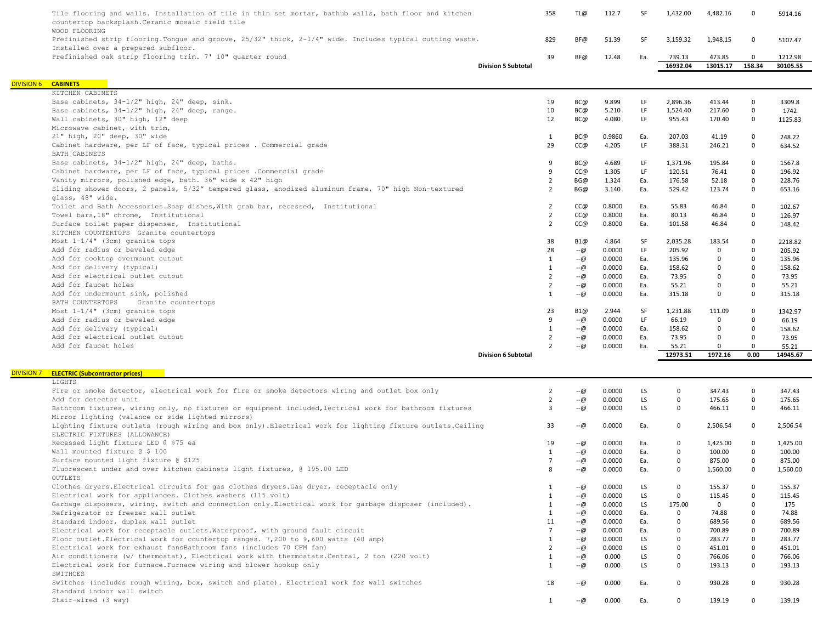|                   | Tile flooring and walls. Installation of tile in thin set mortar, bathub walls, bath floor and kitchen<br>countertop backsplash. Ceramic mosaic field tile<br>WOOD FLOORING |                            | 358                            | TL@        | 112.7            | SF         | 1,432.00           | 4,482.16           | $\mathbf 0$                | 5914.16             |
|-------------------|-----------------------------------------------------------------------------------------------------------------------------------------------------------------------------|----------------------------|--------------------------------|------------|------------------|------------|--------------------|--------------------|----------------------------|---------------------|
|                   | Prefinished strip flooring. Tonque and groove, 25/32" thick, 2-1/4" wide. Includes typical cutting waste.<br>Installed over a prepared subfloor.                            |                            | 829                            | BF@        | 51.39            | SF         | 3,159.32           | 1,948.15           | $\mathsf 0$                | 5107.47             |
|                   | Prefinished oak strip flooring trim. 7' 10" quarter round<br><b>Division 5 Subtotal</b>                                                                                     |                            |                                |            | 12.48            | Ea.        | 739.13<br>16932.04 | 473.85<br>13015.17 | $\mathbf 0$<br>158.34      | 1212.98<br>30105.55 |
|                   |                                                                                                                                                                             |                            |                                |            |                  |            |                    |                    |                            |                     |
| <b>DIVISION 6</b> | <b>CABINETS</b><br>KITCHEN CABINETS                                                                                                                                         |                            |                                |            |                  |            |                    |                    |                            |                     |
|                   | Base cabinets, 34-1/2" high, 24" deep, sink.                                                                                                                                |                            | 19                             | BC@        | 9.899            | LF         | 2,896.36           | 413.44             | $\mathsf 0$                | 3309.8              |
|                   | Base cabinets, 34-1/2" high, 24" deep, range.                                                                                                                               |                            | 10                             | BC@        | 5.210            | LF         | 1,524.40           | 217.60             | $\mathsf 0$                | 1742                |
|                   | Wall cabinets, 30" high, 12" deep                                                                                                                                           |                            | 12                             | BC@        | 4.080            | LF         | 955.43             | 170.40             | $\mathbf 0$                | 1125.83             |
|                   | Microwave cabinet, with trim,                                                                                                                                               |                            |                                |            |                  |            |                    |                    |                            |                     |
|                   | 21" high, 20" deep, 30" wide                                                                                                                                                |                            | $\mathbf{1}$                   | BC@        | 0.9860           | Ea.        | 207.03             | 41.19              | $\mathbf 0$                | 248.22              |
|                   | Cabinet hardware, per LF of face, typical prices . Commercial grade                                                                                                         |                            | 29                             | CC@        | 4.205            | LF         | 388.31             | 246.21             | $\mathbf 0$                | 634.52              |
|                   | BATH CABINETS                                                                                                                                                               |                            |                                |            |                  |            |                    |                    |                            |                     |
|                   | Base cabinets, 34-1/2" high, 24" deep, baths.                                                                                                                               |                            | 9                              | BC@        | 4.689            | LF         | 1,371.96           | 195.84             | $\mathbf{0}$               | 1567.8              |
|                   | Cabinet hardware, per LF of face, typical prices . Commercial grade                                                                                                         |                            | 9                              | CC@        | 1.305            | LF         | 120.51             | 76.41              | $\mathbf{0}$               | 196.92              |
|                   | Vanity mirrors, polished edge, bath. 36" wide x 42" high                                                                                                                    |                            | $\overline{2}$                 | BG@        | 1.324            | Ea.        | 176.58             | 52.18              | $\mathbf{0}$               | 228.76              |
|                   | Sliding shower doors, 2 panels, 5/32" tempered glass, anodized aluminum frame, 70" high Non-textured<br>glass, 48" wide.                                                    |                            | $\overline{2}$                 | BG@        | 3.140            | Ea.        | 529.42             | 123.74             | $\mathbf 0$                | 653.16              |
|                   | Toilet and Bath Accessories. Soap dishes, With grab bar, recessed, Institutional                                                                                            |                            | $\overline{2}$                 | CC@        | 0.8000           | Ea.        | 55.83              | 46.84              | $\mathbf 0$                | 102.67              |
|                   | Towel bars, 18" chrome, Institutional                                                                                                                                       |                            | $\overline{2}$                 | CC@        | 0.8000           | Ea.        | 80.13              | 46.84              | $\mathbf 0$                | 126.97              |
|                   | Surface toilet paper dispenser, Institutional                                                                                                                               |                            | $\overline{2}$                 | CC@        | 0.8000           | Ea.        | 101.58             | 46.84              | $\mathbf{0}$               | 148.42              |
|                   | KITCHEN COUNTERTOPS Granite countertops                                                                                                                                     |                            |                                |            |                  |            |                    |                    |                            |                     |
|                   | Most 1-1/4" (3cm) granite tops                                                                                                                                              |                            | 38                             | B1@        | 4.864            | SF         | 2,035.28           | 183.54             | $\mathbf 0$                | 2218.82             |
|                   | Add for radius or beveled edge                                                                                                                                              |                            | 28                             | --@        | 0.0000           | LF         | 205.92             | $\mathbf 0$        | $\mathsf 0$                | 205.92              |
|                   | Add for cooktop overmount cutout                                                                                                                                            |                            | $\mathbf{1}$                   | $-(a)$     | 0.0000           | Ea.        | 135.96             | 0                  | $\mathbf 0$                | 135.96              |
|                   | Add for delivery (typical)                                                                                                                                                  |                            | $\mathbf{1}$                   | $-(a)$     | 0.0000           | Ea.        | 158.62             | $\mathbf 0$        | $\mathbf 0$                | 158.62              |
|                   | Add for electrical outlet cutout<br>Add for faucet holes                                                                                                                    |                            | $\overline{2}$                 | $-@$       | 0.0000           | Ea.        | 73.95              | $\mathbf 0$        | $\mathbf 0$<br>$\mathbf 0$ | 73.95               |
|                   | Add for undermount sink, polished                                                                                                                                           |                            | $\overline{2}$<br>$\mathbf{1}$ | --@<br>--@ | 0.0000<br>0.0000 | Ea.<br>Ea. | 55.21<br>315.18    | 0<br>$\mathbf 0$   | $\mathbf 0$                | 55.21<br>315.18     |
|                   | BATH COUNTERTOPS<br>Granite countertops                                                                                                                                     |                            |                                |            |                  |            |                    |                    |                            |                     |
|                   | Most 1-1/4" (3cm) granite tops                                                                                                                                              |                            | 23                             | B1@        | 2.944            | SF         | 1,231.88           | 111.09             | $\mathbf 0$                | 1342.97             |
|                   | Add for radius or beveled edge                                                                                                                                              |                            | 9                              | $-@$       | 0.0000           | LF         | 66.19              | 0                  | $\mathsf 0$                | 66.19               |
|                   | Add for delivery (typical)                                                                                                                                                  |                            | $\mathbf{1}$                   | $-(a)$     | 0.0000           | Ea.        | 158.62             | $\mathbf 0$        | $\mathbf 0$                | 158.62              |
|                   | Add for electrical outlet cutout                                                                                                                                            |                            | $\overline{2}$                 | --@        | 0.0000           | Ea.        | 73.95              | $\mathbf 0$        | $\mathbf 0$                | 73.95               |
|                   | Add for faucet holes                                                                                                                                                        |                            | $\overline{2}$                 | --@        | 0.0000           | Ea.        | 55.21              | $\mathbf 0$        | $\mathbf 0$                | 55.21               |
|                   |                                                                                                                                                                             | <b>Division 6 Subtotal</b> |                                |            |                  |            | 12973.51           | 1972.16            | 0.00                       | 14945.67            |
| <b>DIVISION 7</b> | <b>ELECTRIC (Subcontractor prices)</b>                                                                                                                                      |                            |                                |            |                  |            |                    |                    |                            |                     |
|                   | LIGHTS                                                                                                                                                                      |                            |                                |            |                  |            |                    |                    |                            |                     |
|                   | Fire or smoke detector, electrical work for fire or smoke detectors wiring and outlet box only                                                                              |                            | $\overline{2}$                 | --@        | 0.0000           | LS         | 0                  | 347.43             | $\mathbf 0$                | 347.43              |
|                   | Add for detector unit                                                                                                                                                       |                            | $\overline{2}$                 | --@        | 0.0000           | LS         | 0                  | 175.65             | $\mathsf 0$                | 175.65              |
|                   | Bathroom fixtures, wiring only, no fixtures or equipment included, lectrical work for bathroom fixtures                                                                     |                            | $\overline{3}$                 | --@        | 0.0000           | LS.        | $\mathbf{0}$       | 466.11             | $\mathbf 0$                | 466.11              |
|                   | Mirror lighting (valance or side lighted mirrors)                                                                                                                           |                            |                                |            |                  |            |                    |                    |                            |                     |
|                   | Lighting fixture outlets (rough wiring and box only). Electrical work for lighting fixture outlets. Ceiling<br>ELECTRIC FIXTURES (ALLOWANCE)                                |                            | 33                             | --@        | 0.0000           | Ea.        | $\mathbf 0$        | 2,506.54           | $\mathbf 0$                | 2,506.54            |
|                   | Recessed light fixture LED @ \$75 ea                                                                                                                                        |                            | 19                             | --@        | 0.0000           | Ea.        | 0                  | 1,425.00           | $\mathbf 0$                | 1,425.00            |
|                   | Wall mounted fixture @ \$ 100                                                                                                                                               |                            | $\mathbf{1}$                   | --@        | 0.0000           | Ea.        | $\mathbf 0$        | 100.00             | $\mathbf 0$                | 100.00              |
|                   | Surface mounted light fixture @ \$125                                                                                                                                       |                            | $\overline{7}$                 | --@        | 0.0000           | Ea.        | $\mathbf{0}$       | 875.00             | $\mathbf 0$                | 875.00              |
|                   | Fluorescent under and over kitchen cabinets light fixtures, @ 195.00 LED<br><b>OUTLETS</b>                                                                                  |                            | $\mathsf{R}$                   | --@        | 0.0000           | Ea.        | $\mathbf 0$        | 1,560.00           | $\Omega$                   | 1,560.00            |
|                   | Clothes dryers. Electrical circuits for gas clothes dryers. Gas dryer, receptacle only                                                                                      |                            | $\mathbf{1}$                   | --@        | 0.0000           | LS         | $\mathbf{0}$       | 155.37             | 0                          | 155.37              |
|                   | Electrical work for appliances. Clothes washers (115 volt)                                                                                                                  |                            | $\mathbf{1}$                   | $-@$       | 0.0000           | LS         | $\mathbf{0}$       | 115.45             | $\mathbf 0$                | 115.45              |
|                   | Garbage disposers, wiring, switch and connection only. Electrical work for garbage disposer (included).                                                                     |                            | $\mathbf{1}$                   | --@        | 0.0000           | LS.        | 175.00             | $\mathbf{0}$       | $\mathbf{0}$               | 175                 |
|                   | Refrigerator or freezer wall outlet                                                                                                                                         |                            | $\mathbf{1}$                   | --@        | 0.0000           | Ea.        | $\mathbf 0$        | 74.88              | $\mathbf{0}$               | 74.88               |
|                   | Standard indoor, duplex wall outlet                                                                                                                                         |                            | 11                             | $-$ @      | 0.0000           | Ea.        | $\mathbf 0$        | 689.56             | $\mathbf 0$                | 689.56              |
|                   | Electrical work for receptacle outlets. Waterproof, with ground fault circuit                                                                                               |                            | $\overline{7}$                 | --@        | 0.0000           | Ea.        | $\mathbf{0}$       | 700.89             | $\mathbf{0}$               | 700.89              |
|                   | Floor outlet. Electrical work for countertop ranges. 7,200 to 9,600 watts (40 amp)                                                                                          |                            | $\mathbf{1}$                   | $-$ @      | 0.0000           | LS.        | $\Omega$           | 283.77             | $\Omega$                   | 283.77              |
|                   | Electrical work for exhaust fansBathroom fans (includes 70 CFM fan)                                                                                                         |                            | $\overline{2}$                 | --@        | 0.0000           | <b>LS</b>  | $\mathbf 0$        | 451.01             | $\Omega$                   | 451.01              |
|                   | Air conditioners (w/ thermostat), Electrical work with thermostats. Central, 2 ton (220 volt)                                                                               |                            | $\mathbf{1}$                   | --@        | 0.000            | LS.        | $\mathbf 0$        | 766.06             | $\mathbf{0}$               | 766.06              |
|                   | Electrical work for furnace. Furnace wiring and blower hookup only<br>SWITHCES                                                                                              |                            | $\mathbf{1}$                   | --@        | 0.000            | LS.        | $\mathbf{0}$       | 193.13             | $\mathbf{0}$               | 193.13              |
|                   | Switches (includes rough wiring, box, switch and plate). Electrical work for wall switches                                                                                  |                            | 18                             | --@        | 0.000            | Ea.        | $\mathbf 0$        | 930.28             | $\mathbf{0}$               | 930.28              |
|                   | Standard indoor wall switch<br>Stair-wired (3 way)                                                                                                                          |                            | $\mathbf{1}$                   |            |                  |            |                    |                    | $\mathbf{0}$               |                     |
|                   |                                                                                                                                                                             |                            |                                | --@        | 0.000            | Ea.        | $\mathbf 0$        | 139.19             |                            | 139.19              |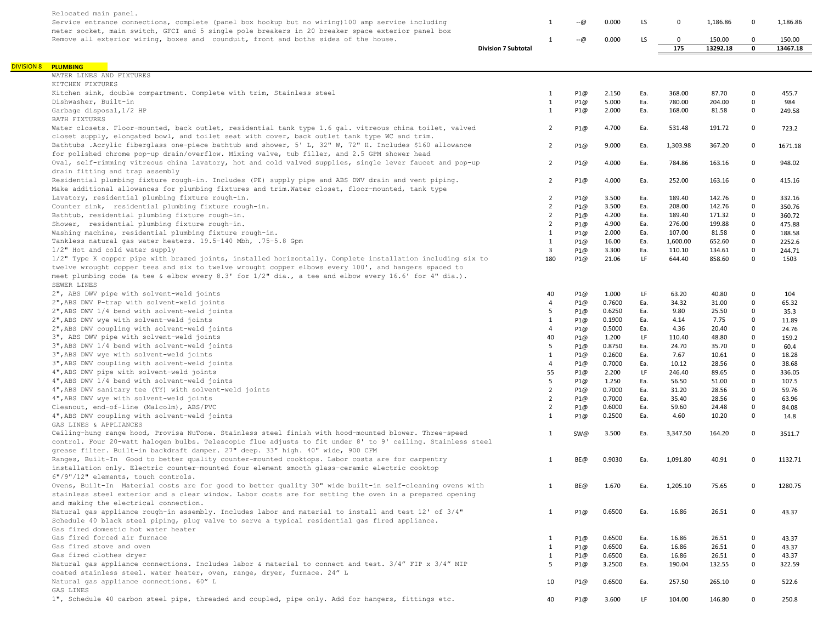| Relocated main panel.                                                                                       |                            |        |        |     |             |          |             |          |
|-------------------------------------------------------------------------------------------------------------|----------------------------|--------|--------|-----|-------------|----------|-------------|----------|
| Service entrance connections, complete (panel box hookup but no wiring) 100 amp service including           | 1                          | --ര    | 0.000  | LS. | 0           | 1,186.86 | $\Omega$    | 1,186.86 |
| meter socket, main switch, GFCI and 5 single pole breakers in 20 breaker space exterior panel box           |                            |        |        |     |             |          |             |          |
| Remove all exterior wiring, boxes and counduit, front and boths sides of the house.                         | 1                          | $-(a)$ | 0.000  | LS. | $\mathbf 0$ | 150.00   | $\mathbf 0$ | 150.00   |
|                                                                                                             | <b>Division 7 Subtotal</b> |        |        |     | 175         | 13292.18 | 0           | 13467.18 |
|                                                                                                             |                            |        |        |     |             |          |             |          |
| <b>DIVISION 8 PLUMBING</b>                                                                                  |                            |        |        |     |             |          |             |          |
| WATER LINES AND FIXTURES                                                                                    |                            |        |        |     |             |          |             |          |
| KITCHEN FIXTURES                                                                                            |                            |        |        |     |             |          |             |          |
| Kitchen sink, double compartment. Complete with trim, Stainless steel                                       | $\mathbf{1}$               | P1@    | 2.150  | Ea. | 368.00      | 87.70    | $\mathbf 0$ | 455.7    |
| Dishwasher, Built-in                                                                                        | 1                          | P1@    | 5.000  | Ea. | 780.00      | 204.00   | $\pmb{0}$   | 984      |
| Garbage disposal, 1/2 HP                                                                                    | $\mathbf{1}$               | P1@    | 2.000  | Ea. | 168.00      | 81.58    | $\mathbf 0$ | 249.58   |
| BATH FIXTURES                                                                                               |                            |        |        |     |             |          |             |          |
| Water closets. Floor-mounted, back outlet, residential tank type 1.6 gal. vitreous china toilet, valved     | $\overline{2}$             | P1@    | 4.700  | Ea. | 531.48      | 191.72   | $\mathbf 0$ | 723.2    |
| closet supply, elongated bowl, and toilet seat with cover, back outlet tank type WC and trim.               |                            |        |        |     |             |          |             |          |
| Bathtubs .Acrylic fiberglass one-piece bathtub and shower, 5' L, 32" W, 72" H. Includes \$160 allowance     | $\overline{2}$             | P1@    | 9.000  | Ea. | 1,303.98    | 367.20   | 0           | 1671.18  |
| for polished chrome pop-up drain/overflow. Mixing valve, tub filler, and 2.5 GPM shower head                |                            |        |        |     |             |          |             |          |
| Oval, self-rimming vitreous china lavatory, hot and cold valved supplies, single lever faucet and pop-up    | $\overline{2}$             | P1@    | 4.000  | Ea. | 784.86      | 163.16   | 0           | 948.02   |
| drain fitting and trap assembly                                                                             |                            |        |        |     |             |          |             |          |
| Residential plumbing fixture rough-in. Includes (PE) supply pipe and ABS DWV drain and vent piping.         | $\overline{2}$             | P1@    | 4.000  | Ea. | 252.00      | 163.16   | 0           | 415.16   |
| Make additional allowances for plumbing fixtures and trim. Water closet, floor-mounted, tank type           |                            |        |        |     |             |          |             |          |
| Lavatory, residential plumbing fixture rough-in.                                                            | $\overline{2}$             | P1@    | 3.500  | Ea. | 189.40      | 142.76   | $\mathbf 0$ | 332.16   |
| Counter sink, residential plumbing fixture rough-in.                                                        | $\overline{2}$             | P1@    | 3.500  | Ea. | 208.00      | 142.76   | $\Omega$    | 350.76   |
| Bathtub, residential plumbing fixture rough-in.                                                             | $\overline{2}$             | P1@    | 4.200  | Ea. | 189.40      | 171.32   | $\Omega$    | 360.72   |
| Shower, residential plumbing fixture rough-in.                                                              | $\overline{2}$             | P1@    | 4.900  | Ea. | 276.00      | 199.88   | $\Omega$    | 475.88   |
| Washing machine, residential plumbing fixture rough-in.                                                     | 1                          | P1@    | 2.000  | Ea. | 107.00      | 81.58    | $\Omega$    | 188.58   |
| Tankless natural gas water heaters. 19.5-140 Mbh, .75-5.8 Gpm                                               | $\mathbf{1}$               | P1@    | 16.00  | Ea. | 1,600.00    | 652.60   | $\Omega$    | 2252.6   |
| 1/2" Hot and cold water supply                                                                              | 3                          | P1@    | 3.300  | Ea. | 110.10      | 134.61   | $\Omega$    | 244.71   |
| 1/2" Type K copper pipe with brazed joints, installed horizontally. Complete installation including six to  | 180                        | P1@    | 21.06  | LF. | 644.40      | 858.60   | $\Omega$    | 1503     |
| twelve wrought copper tees and six to twelve wrought copper elbows every 100', and hangers spaced to        |                            |        |        |     |             |          |             |          |
| meet plumbing code (a tee & elbow every 8.3' for 1/2" dia., a tee and elbow every 16.6' for 4" dia.).       |                            |        |        |     |             |          |             |          |
| SEWER LINES                                                                                                 |                            |        |        |     |             |          |             |          |
| 2", ABS DWV pipe with solvent-weld joints                                                                   | 40                         | P1@    | 1.000  | LF  | 63.20       | 40.80    | 0           | 104      |
| 2", ABS DWV P-trap with solvent-weld joints                                                                 | $\overline{4}$             | P1@    | 0.7600 | Ea. | 34.32       | 31.00    | $\Omega$    | 65.32    |
| 2", ABS DWV 1/4 bend with solvent-weld joints                                                               | 5                          | P1@    | 0.6250 | Ea. | 9.80        | 25.50    | $\mathbf 0$ | 35.3     |
| 2", ABS DWV wye with solvent-weld joints                                                                    | 1                          | P1@    | 0.1900 | Ea. | 4.14        | 7.75     | $\mathbf 0$ | 11.89    |
| 2", ABS DWV coupling with solvent-weld joints                                                               | $\overline{4}$             | P1@    | 0.5000 | Ea. | 4.36        | 20.40    | $\Omega$    | 24.76    |
| 3", ABS DWV pipe with solvent-weld joints                                                                   | 40                         | P1@    | 1.200  | LF  | 110.40      | 48.80    | $\Omega$    | 159.2    |
| 3", ABS DWV 1/4 bend with solvent-weld joints                                                               | 5                          | P1@    | 0.8750 | Ea. | 24.70       | 35.70    | $\Omega$    | 60.4     |
| 3", ABS DWV wye with solvent-weld joints                                                                    | 1                          | P1@    | 0.2600 | Ea. | 7.67        | 10.61    | $\mathbf 0$ | 18.28    |
| 3", ABS DWV coupling with solvent-weld joints                                                               | $\overline{4}$             | P1@    | 0.7000 | Ea. | 10.12       | 28.56    | $\mathbf 0$ | 38.68    |
| 4", ABS DWV pipe with solvent-weld joints                                                                   | 55                         | P1@    | 2.200  | LF  | 246.40      | 89.65    | $\Omega$    | 336.05   |
| 4", ABS DWV 1/4 bend with solvent-weld joints                                                               | 5                          | P1@    | 1.250  | Ea. | 56.50       | 51.00    | $\Omega$    | 107.5    |
| 4", ABS DWV sanitary tee (TY) with solvent-weld joints                                                      | $\overline{2}$             | P1@    | 0.7000 | Ea. | 31.20       | 28.56    | $\Omega$    | 59.76    |
| 4", ABS DWV wye with solvent-weld joints                                                                    | $\overline{2}$             | P1@    | 0.7000 | Ea. | 35.40       | 28.56    | $\Omega$    | 63.96    |
| Cleanout, end-of-line (Malcolm), ABS/PVC                                                                    | $\overline{2}$             | P1@    | 0.6000 | Ea. | 59.60       | 24.48    | $\mathbf 0$ | 84.08    |
| 4", ABS DWV coupling with solvent-weld joints                                                               | 1                          | P1@    | 0.2500 | Ea. | 4.60        | 10.20    | $\Omega$    | 14.8     |
| GAS LINES & APPLIANCES                                                                                      |                            |        |        |     |             |          |             |          |
| Ceiling-hung range hood, Provisa NuTone. Stainless steel finish with hood-mounted blower. Three-speed       | $\mathbf{1}$               | SW@    | 3.500  | Ea. | 3,347.50    | 164.20   | $\Omega$    | 3511.7   |
| control. Four 20-watt halogen bulbs. Telescopic flue adjusts to fit under 8' to 9' ceiling. Stainless steel |                            |        |        |     |             |          |             |          |
| grease filter. Built-in backdraft damper. 27" deep. 33" high. 40" wide, 900 CFM                             |                            |        |        |     |             |          |             |          |
| Ranges, Built-In Good to better quality counter-mounted cooktops. Labor costs are for carpentry             | 1                          | BE@    | 0.9030 | Ea. | 1,091.80    | 40.91    | $\Omega$    | 1132.71  |
| installation only. Electric counter-mounted four element smooth glass-ceramic electric cooktop              |                            |        |        |     |             |          |             |          |
| 6"/9"/12" elements, touch controls.                                                                         |                            |        |        |     |             |          |             |          |
| Ovens, Built-In Material costs are for good to better quality 30" wide built-in self-cleaning ovens with    | $\mathbf{1}$               | BE@    | 1.670  | Ea. | 1,205.10    | 75.65    | $\Omega$    | 1280.75  |
| stainless steel exterior and a clear window. Labor costs are for setting the oven in a prepared opening     |                            |        |        |     |             |          |             |          |
| and making the electrical connection.                                                                       |                            |        |        |     |             |          |             |          |
| Natural gas appliance rough-in assembly. Includes labor and material to install and test 12' of 3/4"        | $\mathbf{1}$               | P1@    | 0.6500 | Ea. | 16.86       | 26.51    | $\mathbf 0$ | 43.37    |
| Schedule 40 black steel piping, plug valve to serve a typical residential gas fired appliance.              |                            |        |        |     |             |          |             |          |
| Gas fired domestic hot water heater                                                                         |                            |        |        |     |             |          |             |          |
| Gas fired forced air furnace                                                                                | $\mathbf{1}$               | P1@    | 0.6500 | Ea. | 16.86       | 26.51    | 0           | 43.37    |
| Gas fired stove and oven                                                                                    | $\mathbf{1}$               | P1@    | 0.6500 | Ea. | 16.86       | 26.51    | $\Omega$    | 43.37    |
| Gas fired clothes dryer                                                                                     | $\mathbf{1}$               | P1@    | 0.6500 | Ea. | 16.86       | 26.51    | $\mathbf 0$ | 43.37    |
| Natural gas appliance connections. Includes labor & material to connect and test. 3/4" FIP x 3/4" MIP       | 5                          | P1@    | 3.2500 | Ea. | 190.04      | 132.55   | 0           | 322.59   |
| coated stainless steel. water heater, oven, range, dryer, furnace. 24" L                                    |                            |        |        |     |             |          |             |          |
| Natural gas appliance connections. 60" L                                                                    | 10                         | P1@    | 0.6500 | Ea. | 257.50      | 265.10   | 0           | 522.6    |
| GAS LINES                                                                                                   |                            |        |        |     |             |          |             |          |
| 1", Schedule 40 carbon steel pipe, threaded and coupled, pipe only. Add for hangers, fittings etc.          | 40                         | P1@    | 3.600  | LF. | 104.00      | 146.80   | 0           | 250.8    |
|                                                                                                             |                            |        |        |     |             |          |             |          |